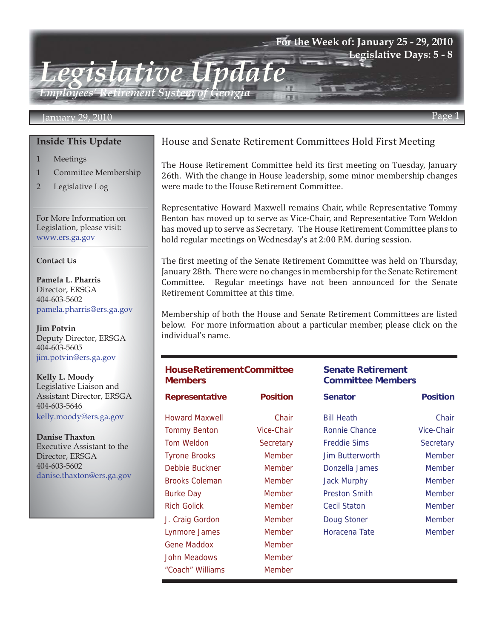## **For the Week of: January 25 - 29, 2010 Legislative Days: 5 - 8**

*Employees' Retirement System of Georgia*

*Legislative Update*

#### January 29, 2010 Page 1

#### **Inside This Update**

- 1 Meetings
- 1 Committee Membership
- 2 Legislative Log

For More Information on Legislation, please visit: www.ers.ga.gov

#### **Contact Us**

**Pamela L. Pharris** Director, ERSGA 404-603-5602 pamela.pharris@ers.ga.gov

**Jim Potvin** Deputy Director, ERSGA 404-603-5605 jim.potvin@ers.ga.gov

**Kelly L. Moody** Legislative Liaison and Assistant Director, ERSGA 404-603-5646 kelly.moody@ers.ga.gov

**Danise Thaxton** Executive Assistant to the Director, ERSGA 404-603-5602 danise.thaxton@ers.ga.gov

## House and Senate Retirement Committees Hold First Meeting

The House Retirement Committee held its first meeting on Tuesday, January 26th. With the change in House leadership, some minor membership changes were made to the House Retirement Committee.

Representative Howard Maxwell remains Chair, while Representative Tommy Benton has moved up to serve as Vice-Chair, and Representative Tom Weldon has moved up to serve as Secretary. The House Retirement Committee plans to hold regular meetings on Wednesday's at 2:00 P.M. during session.

The first meeting of the Senate Retirement Committee was held on Thursday, January 28th. There were no changes in membership for the Senate Retirement Committee. Regular meetings have not been announced for the Senate Retirement Committee at this time.

Membership of both the House and Senate Retirement Committees are listed below. For more information about a particular member, please click on the individual's name.

## **House Retirement Committee Members Senate Retirement Committee Members Representative Position Senator Position** [Howard Maxwell](http://www.legis.ga.gov/legis/2009_10/house/bios/maxwellHoward/maxwellHoward.htm) Chair [Bill Heath](http://www.legis.ga.gov/legis/2009_10/senate/heathbio.php) Chair [Tommy Benton](http://www.legis.ga.gov/legis/2009_10/house/bios/bentonTommy/bentonTommy.htm) Vice-Chair [Ronnie Chance](http://www.legis.ga.gov/legis/2009_10/senate/chancebio.php) Vice-Chair [Tom Weldon](http://www.legis.ga.gov/legis/2009_10/house/bios/weldonTom/weldonTom.htm) Secretary [Freddie Sims](http://www.legis.ga.gov/legis/2009_10/senate/simsbio.php) Secretary [Tyrone Brooks](http://www.legis.ga.gov/legis/2009_10/house/bios/brooksTyrone/brooksTyrone.htm) Member [Jim Butterworth](http://www.legis.ga.gov/legis/2009_10/senate/butterworthbio.php) Member [Debbie Buckner](http://www.legis.ga.gov/legis/2009_10/house/bios/bucknerDebbie/bucknerDebbie.htm) Member [Donzella James](http://www.legis.ga.gov/legis/2009_10/senate/jamesbio.php) Member [Brooks Coleman](http://www.legis.ga.gov/legis/2009_10/house/bios/colemanBrooks/colemanBrooks.html) Member [Jack Murphy](http://www.legis.ga.gov/legis/2009_10/senate/murphybio.php) Member [Burke Day](http://www.legis.ga.gov/legis/2009_10/house/bios/dayBurke/dayBurke.htm) **Member** [Preston Smith](http://www.legis.ga.gov/legis/2009_10/senate/smithbio.php) Member [Rich Golick](http://www.legis.ga.gov/legis/2009_10/house/bios/golickRich/golickRich.htm) Member [Cecil Staton](http://www.legis.ga.gov/legis/2009_10/senate/statonbio.php) Member [J. Craig Gordon](http://www.legis.ga.gov/legis/2009_10/house/bios/gordonCraig/gordonCraig.htm) Member [Doug Stoner](http://www.legis.ga.gov/legis/2009_10/senate/stonerbio.php) Member [Lynmore James](http://www.legis.ga.gov/legis/2009_10/house/bios/jamesLynmore/jamesLynmore.htm) Member [Horacena Tate](http://www.legis.ga.gov/legis/2009_10/senate/tatebio.php) Member [Gene Maddox](http://www.legis.ga.gov/legis/2009_10/house/bios/maddoxGene/maddoxGene.htm) Member [John Meadows](http://www.legis.ga.gov/legis/2009_10/house/bios/meadowsJohn/meadowsJohn.htm) Member ["Coach" Williams](http://www.legis.ga.gov/legis/2009_10/house/bios/williamsCoach/williamsCoach.htm) Member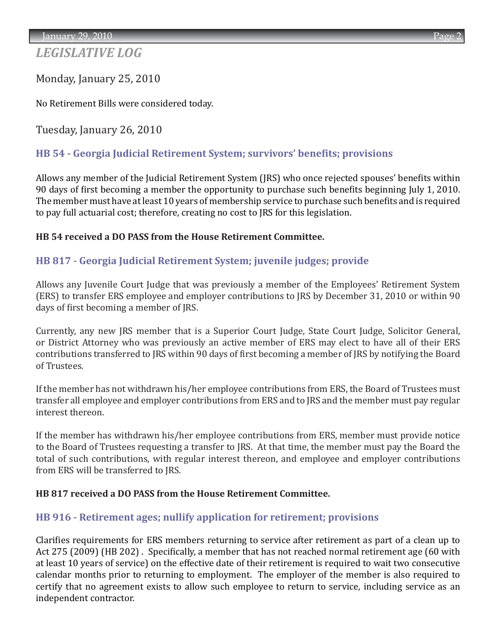# *LEGISLATIVE LOG*

Monday, January 25, 2010

No Retirement Bills were considered today.

Tuesday, January 26, 2010

## **[HB 54 - Georgia Judicial Retirement System; survivors' benefits; provisions](http://www.legis.ga.gov/legis/2009_10/sum/hb54.htm)**

Allows any member of the Judicial Retirement System (JRS) who once rejected spouses' benefits within 90 days of first becoming a member the opportunity to purchase such benefits beginning July 1, 2010. The member must have at least 10 years of membership service to purchase such benefits and is required to pay full actuarial cost; therefore, creating no cost to JRS for this legislation.

## **HB 54 received a DO PASS from the House Retirement Committee.**

## **[HB 817 - Georgia Judicial Retirement System; juvenile judges; provide](http://www.legis.ga.gov/legis/2009_10/sum/hb817.htm)**

Allows any Juvenile Court Judge that was previously a member of the Employees' Retirement System (ERS) to transfer ERS employee and employer contributions to JRS by December 31, 2010 or within 90 days of first becoming a member of JRS.

Currently, any new JRS member that is a Superior Court Judge, State Court Judge, Solicitor General, or District Attorney who was previously an active member of ERS may elect to have all of their ERS contributions transferred to JRS within 90 days of first becoming a member of JRS by notifying the Board of Trustees.

If the member has not withdrawn his/her employee contributions from ERS, the Board of Trustees must transfer all employee and employer contributions from ERS and to JRS and the member must pay regular interest thereon.

If the member has withdrawn his/her employee contributions from ERS, member must provide notice to the Board of Trustees requesting a transfer to JRS. At that time, the member must pay the Board the total of such contributions, with regular interest thereon, and employee and employer contributions from ERS will be transferred to JRS.

#### **HB 817 received a DO PASS from the House Retirement Committee.**

## **[HB 916 - Retirement ages; nullify application for retirement; provisions](http://www.legis.ga.gov/legis/2009_10/sum/hb916.htm)**

Clarifies requirements for ERS members returning to service after retirement as part of a clean up to Act 275 (2009) (HB 202) . Specifically, a member that has not reached normal retirement age (60 with at least 10 years of service) on the effective date of their retirement is required to wait two consecutive calendar months prior to returning to employment. The employer of the member is also required to certify that no agreement exists to allow such employee to return to service, including service as an independent contractor.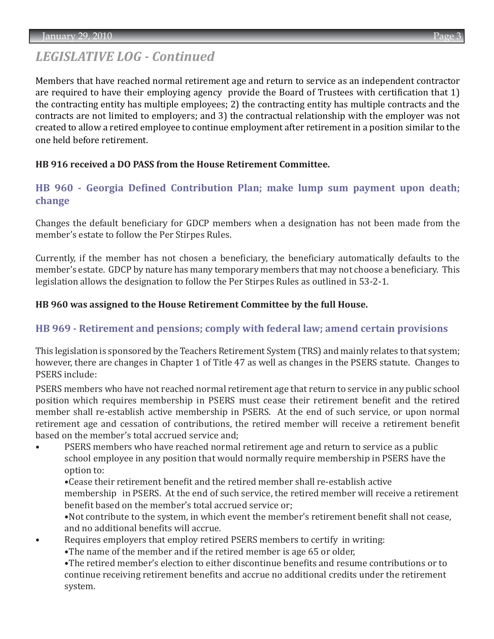## *LEGISLATIVE LOG - Continued*

Members that have reached normal retirement age and return to service as an independent contractor are required to have their employing agency provide the Board of Trustees with certification that 1) the contracting entity has multiple employees; 2) the contracting entity has multiple contracts and the contracts are not limited to employers; and 3) the contractual relationship with the employer was not created to allow a retired employee to continue employment after retirement in a position similar to the one held before retirement.

## **HB 916 received a DO PASS from the House Retirement Committee.**

## **[HB 960 - Georgia Defined Contribution Plan; make lump sum payment upon death;](http://www.legis.ga.gov/legis/2009_10/sum/hb960.htm) change**

Changes the default beneficiary for GDCP members when a designation has not been made from the member's estate to follow the Per Stirpes Rules.

Currently, if the member has not chosen a beneficiary, the beneficiary automatically defaults to the member's estate. GDCP by nature has many temporary members that may not choose a beneficiary. This legislation allows the designation to follow the Per Stirpes Rules as outlined in 53-2-1.

#### **HB 960 was assigned to the House Retirement Committee by the full House.**

## **[HB 969 - Retirement and pensions; comply with federal law; amend certain provisions](http://www.legis.ga.gov/legis/2009_10/sum/hb969.htm)**

This legislation is sponsored by the Teachers Retirement System (TRS) and mainly relates to that system; however, there are changes in Chapter 1 of Title 47 as well as changes in the PSERS statute. Changes to PSERS include:

PSERS members who have not reached normal retirement age that return to service in any public school position which requires membership in PSERS must cease their retirement benefit and the retired member shall re-establish active membership in PSERS. At the end of such service, or upon normal retirement age and cessation of contributions, the retired member will receive a retirement benefit based on the member's total accrued service and;

PSERS members who have reached normal retirement age and return to service as a public school employee in any position that would normally require membership in PSERS have the option to:

•Cease their retirement benefit and the retired member shall re-establish active

 membership in PSERS. At the end of such service, the retired member will receive a retirement benefit based on the member's total accrued service or;

 •Not contribute to the system, in which event the member's retirement benefit shall not cease, and no additional benefits will accrue.

• Requires employers that employ retired PSERS members to certify in writing:

•The name of the member and if the retired member is age 65 or older,

 •The retired member's election to either discontinue benefits and resume contributions or to continue receiving retirement benefits and accrue no additional credits under the retirement system.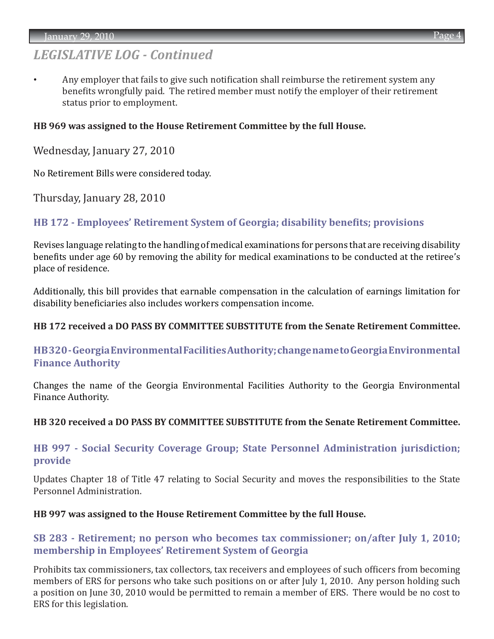## *LEGISLATIVE LOG - Continued*

Any employer that fails to give such notification shall reimburse the retirement system any benefits wrongfully paid. The retired member must notify the employer of their retirement status prior to employment.

#### **HB 969 was assigned to the House Retirement Committee by the full House.**

Wednesday, January 27, 2010

No Retirement Bills were considered today.

Thursday, January 28, 2010

## **[HB 172 - Employees' Retirement System of Georgia; disability benefits; provisions](http://www.legis.ga.gov/legis/2009_10/sum/hb172.htm)**

Revises language relating to the handling of medical examinations for persons that are receiving disability benefits under age 60 by removing the ability for medical examinations to be conducted at the retiree's place of residence.

Additionally, this bill provides that earnable compensation in the calculation of earnings limitation for disability beneficiaries also includes workers compensation income.

#### **HB 172 received a DO PASS BY COMMITTEE SUBSTITUTE from the Senate Retirement Committee.**

## **[HB 320 - Georgia Environmental Facilities Authority; change name to Georgia Environmental](http://www.legis.ga.gov/legis/2009_10/sum/hb320.htm)  Finance Authority**

Changes the name of the Georgia Environmental Facilities Authority to the Georgia Environmental Finance Authority.

#### **HB 320 received a DO PASS BY COMMITTEE SUBSTITUTE from the Senate Retirement Committee.**

## **[HB 997 - Social Security Coverage Group; State Personnel Administration jurisdiction;](http://www.legis.ga.gov/legis/2009_10/sum/hb997.htm)  provide**

Updates Chapter 18 of Title 47 relating to Social Security and moves the responsibilities to the State Personnel Administration.

#### **HB 997 was assigned to the House Retirement Committee by the full House.**

## **[SB 283 - Retirement; no person who becomes tax commissioner; on/after July 1, 2010;](http://www.legis.ga.gov/legis/2009_10/sum/sb283.htm)  membership in Employees' Retirement System of Georgia**

Prohibits tax commissioners, tax collectors, tax receivers and employees of such officers from becoming members of ERS for persons who take such positions on or after July 1, 2010. Any person holding such a position on June 30, 2010 would be permitted to remain a member of ERS. There would be no cost to ERS for this legislation.